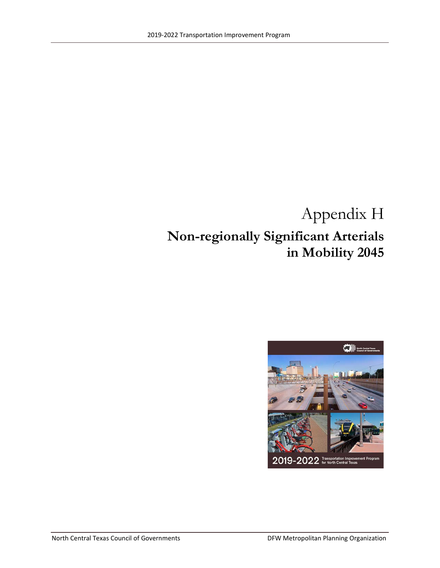# Appendix H **Non-regionally Significant Arterials in Mobility 2045**

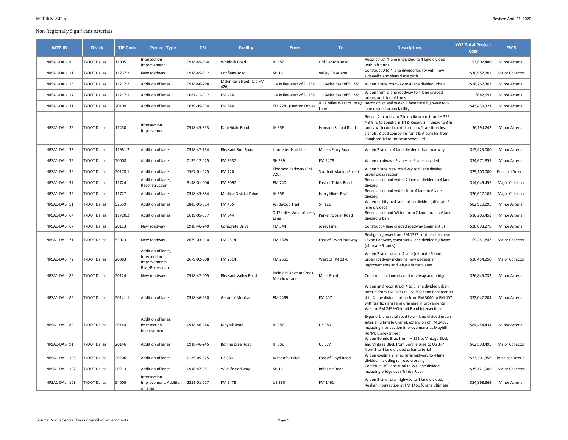| <b>MTP ID</b>  | <b>District</b>     | <b>TIP Code</b> | <b>Project Type</b>                                                    | <b>CSJ</b>  | <b>Facility</b>                 | From                                    | To                               | <b>Description</b>                                                                                                                                                                                                                                        | <b>YOE Total Project</b><br>Cost | <b>FFCS</b>               |
|----------------|---------------------|-----------------|------------------------------------------------------------------------|-------------|---------------------------------|-----------------------------------------|----------------------------------|-----------------------------------------------------------------------------------------------------------------------------------------------------------------------------------------------------------------------------------------------------------|----------------------------------|---------------------------|
| NRSA1-DAL- 8   | <b>TxDOT Dallas</b> | 11005           | Intersection<br>Improvement                                            | 0918-45-864 | <b>Whitlock Road</b>            | <b>IH 35E</b>                           | Old Denton Road                  | Reconstruct 4 lane undivided to 4 lane divided<br>with left turns                                                                                                                                                                                         | \$3,802,480                      | Minor Arterial            |
| NRSA1-DAL- 11  | <b>TxDOT Dallas</b> | 11237.2         | New roadway                                                            | 0918-45-812 | Conflans Road                   | SH 161                                  | Valley View lane                 | Construct 0 to 4 lane divided facility with new<br>sidewalks and shared use path                                                                                                                                                                          | \$30,952,202                     | Major Collector           |
| NRSA1-DAL- 16  | TxDOT Dallas        | 11217.2         | Addition of lanes                                                      | 0918-46-298 | Mckinney Street (Old FM<br>426) | 1.4 Miles west of SL 288                | 1.1 Miles East of SL 288         | Widen 2 lane roadway to 4 lane divided urban                                                                                                                                                                                                              | \$18,267,303                     | Minor Arterial            |
| NRSA1-DAL- 17  | TxDOT Dallas        | 11217.1         | <b>Addition of lanes</b>                                               | 0081-11-012 | FM 426                          | 1.4 Miles west of SL 288                | 1.1 Miles East of SL 288         | Widen from 2 lane roadway to 4 lane divided<br>urban; addition of lanes                                                                                                                                                                                   | \$682,697                        | Minor Arterial            |
| NRSA1-DAL- 31  | TxDOT Dallas        | 20109           | Addition of lanes                                                      | 0619-05-034 | FM 544                          | FM 2281 (Denton Drive)                  | 0.17 Miles West of Josey<br>Lane | Reconstruct and widen 2 lane rural highway to 6<br>lane divided urban facility                                                                                                                                                                            | \$43,439,321                     | Minor Arterial            |
| NRSA1-DAL-32   | <b>TxDOT Dallas</b> | 11450           | Intersection<br>Improvement                                            | 0918-45-853 | Danieldale Road                 | <b>IH 35E</b>                           | <b>Houston School Road</b>       | Recon. 2 In undiv to 2 In undiv urban from IH 35E<br>NB fr rd to Longhorn Trl & Recon. 2 In undiv to 3 In<br>undiv with contin. cntr turn In w/transition Ins,<br>signals, & add combo Ins for It & rt turn Ins from<br>Longhorn Trl to Houston School Rd | \$6,194,242                      | Minor Arterial            |
| NRSA1-DAL-33   | TxDOT Dallas        | 11981.2         | <b>Addition of lanes</b>                                               | 0918-47-134 | Pleasant Run Road               | Lancaster-Hutchins                      | Millers Ferry Road               | Widen 2 lane to 4 lane divided urban roadway                                                                                                                                                                                                              | \$15,423,000                     | Minor Arterial            |
| NRSA1-DAL- 35  | <b>TxDOT Dallas</b> | 20008           | Addition of lanes                                                      | 0135-12-025 | FM 3537                         | SH 289                                  | FM 2478                          | Widen roadway - 2 lanes to 6 lanes divided                                                                                                                                                                                                                | \$34,671,859                     | Minor Arterial            |
| NRSA1-DAL- 36  | TxDOT Dallas        | 20178.1         | Addition of lanes                                                      | 1567-01-025 | FM 720                          | Eldorado Parkway (FM<br>720)            | South of Martop Street           | Widen 2 lane rural roadway to 6 lane divided<br>urban cross section                                                                                                                                                                                       | \$29,100,000                     | Principal Arterial        |
| NRSA1-DAL- 37  | TxDOT Dallas        | 11724           | Addition of lanes,<br>Reconstruction                                   | 3148-01-006 | FM 3097                         | FM 740                                  | East of Tubbs Road               | Reconstruct and widen 2 lane undivided to 4 lane<br>divided                                                                                                                                                                                               | \$14,049,455                     | Major Collector           |
| NRSA1-DAL- 39  | <b>TxDOT Dallas</b> | 11727           | Addition of lanes                                                      | 0918-45-884 | <b>Medical District Drive</b>   | <b>IH 35E</b>                           | Harry Hines Blvd                 | Reconstruct and widen from 4 lane to 6 lane<br>divided                                                                                                                                                                                                    | \$26,617,109                     | Major Collector           |
| NRSA1-DAL- 51  | TxDOT Dallas        | 52559           | Addition of lanes                                                      | 2845-01-014 | <b>FM 455</b>                   | Wildwood Trail                          | SH 121                           | Widen facility to 4 lane urban divided (ultimate 6<br>lane divided)                                                                                                                                                                                       | \$82,910,295                     | Minor Arterial            |
| NRSA1-DAL- 64  | TxDOT Dallas        | 11720.2         | <b>Addition of lanes</b>                                               | 0619-05-037 | FM 544                          | 0.17 miles West of Josey<br>Lane        | Parker/Dozier Road               | Reconstruct and Widen from 2 lane rural to 6 lane<br>divided urban                                                                                                                                                                                        | \$16,205,453                     | Minor Arterial            |
| NRSA1-DAL- 67  | TxDOT Dallas        | 20113           | New roadway                                                            | 0918-46-240 | Corporate Drive                 | <b>FM 544</b>                           | Josey lane                       | Construct 4 lane divided roadway (segment 6)                                                                                                                                                                                                              | \$20,898,278                     | Minor Arterial            |
| NRSA1-DAL- 71  | TxDOT Dallas        | 53073           | New roadway                                                            | 2679-03-010 | FM 2514                         | FM 1378                                 | East of Lavon Parkway            | Realign highway from FM 1378 southeast to near<br>Lavon Parkway, construct 4 lane divided highway<br>(ultimate 6 lanes)                                                                                                                                   | \$9,251,843                      | Major Collector           |
| NRSA1-DAL- 72  | <b>TxDOT Dallas</b> | 20083           | Addition of lanes,<br>Intersection<br>Improvements,<br>Bike/Pedestrian | 2679-02-008 | FM 2514                         | FM 2551                                 | West of FM 1378                  | Widen 2 lane rural to 4 lane (ultimate 6 lane)<br>urban roadway including new pedestrian<br>improvements and left/right turn lanes                                                                                                                        | \$26,454,250                     | Major Collector           |
| NRSA1-DAL-82   | <b>TxDOT Dallas</b> | 20124           | New roadway                                                            | 0918-47-005 | Pleasant Valley Road            | Richfield Drive at Creek<br>Meadow Lane | Miles Road                       | Construct a 4 lane divided roadway and bridge                                                                                                                                                                                                             | \$26,845,032                     | Minor Arterial            |
| NRSA1-DAL- 86  | <b>TxDOT Dallas</b> | 20141.1         | <b>Addition of lanes</b>                                               | 0918-46-230 | Gerault/Morriss                 | FM 2499                                 | FM 407                           | Widen and reconstruct 4 to 6 lane divided urban<br>arterial from FM 2499 to FM 3040 and Reconstruct<br>4 to 4 lane divided urban from FM 3040 to FM 407<br>with traffic signal and drainage improvements<br>West of FM 2499/Gerault Road intersection     | \$32,047,204                     | Minor Arterial            |
| NRSA1-DAL- 89  | TxDOT Dallas        | 20144           | Addition of lanes,<br>intersection<br>improvements                     | 0918-46-246 | Mayhill Road                    | <b>IH 35E</b>                           | <b>US 380</b>                    | Expand 2 lane rural road to a 4 lane divided urban<br>arterial (ultimate 6 lane), extension of FM 2499;<br>including intersection improvements at Mayhill<br>Rd/McKinney Street                                                                           | \$84,454,434                     | Minor Arterial            |
| NRSA1-DAL- 91  | <b>TxDOT Dallas</b> | 20146           | Addition of lanes                                                      | 0918-46-245 | Bonnie Brae Road                | <b>IH 35E</b>                           | US 377                           | Widen Bonnie Brae from IH 35E to Vintage Blvd.<br>and Vintage Blvd. from Bonnie Brae to US 377<br>from 2 to 4 lane divided urban arterial                                                                                                                 | \$62,593,495                     | Major Collector           |
| NRSA1-DAL- 105 | <b>TxDOT Dallas</b> | 20206           | <b>Addition of lanes</b>                                               | 0135-05-025 | US 380                          | West of CR 608                          | East of Floyd Road               | Widen existing 2 lanes rural highway to 4 lane<br>divided, including railroad crossing                                                                                                                                                                    | \$23,301,356                     | <b>Principal Arterial</b> |

construct U/2 Iane rural to 2/4 Iane divided<br>including bridge over Trinity River **1998** Major Collector

Nuden 2 iane rural nighway to 4 iane divided;<br>Realign intersection at FM 1461 (6 lane ultimate) spaces and the state of Minor Arterial

 $NRSA1-DAL-108$  TxDOT Dallas 54005

**Intersection** 

of lanes

Improvement, Addition 2351-01-017

 $\begin{array}{|l|l|}\n\hline\n\text{FM 2478}\n\end{array}$  US 380  $\begin{array}{|l|l|}\n\hline\n\text{FM 1461}\n\end{array}$  Miden 2 lane rural highway to 4 lane divided;

NRSA1-DAL- 107 TxDOT Dallas 20213 Addition of lanes 0918-47-051 Wildlife Parkway SH 161 Belt Line Road Construct 0/2 lane rural to 2/4 lane divided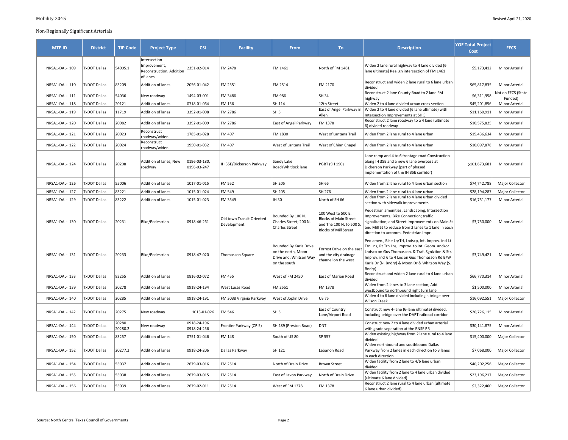| <b>MTP ID</b>  | <b>District</b>     | <b>TIP Code</b>  | <b>Project Type</b>                                                  | <b>CSJ</b>                  | <b>Facility</b>                          | From                                                                                   | To:                                                                                                            | <b>Description</b>                                                                                                                                                                                                                                                             | <b>YOE Total Project</b><br>Cost | <b>FFCS</b>                   |
|----------------|---------------------|------------------|----------------------------------------------------------------------|-----------------------------|------------------------------------------|----------------------------------------------------------------------------------------|----------------------------------------------------------------------------------------------------------------|--------------------------------------------------------------------------------------------------------------------------------------------------------------------------------------------------------------------------------------------------------------------------------|----------------------------------|-------------------------------|
| NRSA1-DAL- 109 | <b>TxDOT Dallas</b> | 54005.1          | Intersection<br>Improvement,<br>Reconstruction, Addition<br>of lanes | 2351-02-014                 | FM 2478                                  | FM 1461                                                                                | North of FM 1461                                                                                               | Widen 2 lane rural highway to 4 lane divided (6<br>lane ultimate) Realign intersection of FM 1461                                                                                                                                                                              | \$5,173,412                      | Minor Arterial                |
| NRSA1-DAL-110  | <b>TxDOT Dallas</b> | 83209            | Addition of lanes                                                    | 2056-01-042                 | FM 2551                                  | FM 2514                                                                                | FM 2170                                                                                                        | Reconstruct and widen 2 lane rural to 6 lane urban<br>divided                                                                                                                                                                                                                  | \$65,817,835                     | Minor Arterial                |
| NRSA1-DAL-111  | <b>TxDOT Dallas</b> | 54036            | New roadway                                                          | 1494-03-001                 | FM 3486                                  | FM 986                                                                                 | <b>SH 34</b>                                                                                                   | Reconstruct 2 lane County Road to 2 lane FM<br>highway                                                                                                                                                                                                                         | \$6,311,958                      | Not on FFCS (State<br>Funded) |
| NRSA1-DAL-118  | <b>TxDOT Dallas</b> | 20121            | Addition of lanes                                                    | 0718-01-064                 | FM 156                                   | SH 114                                                                                 | 12th Street                                                                                                    | Widen 2 to 4 lane divided urban cross section                                                                                                                                                                                                                                  | \$45,201,856                     | Minor Arterial                |
| NRSA1-DAL-119  | <b>TxDOT Dallas</b> | 11719            | Addition of lanes                                                    | 3392-01-008                 | FM 2786                                  | SH <sub>5</sub>                                                                        | East of Angel Parkway in<br>Allen                                                                              | Widen 2 to 4 lane divided (6 lane ultimate) with<br>Intersection Improvements at SH 5                                                                                                                                                                                          | \$11,160,911                     | Minor Arterial                |
| NRSA1-DAL-120  | <b>TxDOT Dallas</b> | 20082            | Addition of lanes                                                    | 3392-01-009                 | FM 2786                                  | East of Angel Parkway                                                                  | FM 1378                                                                                                        | Reconstruct 2 lane roadway to a 4 lane (ultimate<br>6) divided roadway                                                                                                                                                                                                         | \$10,575,825                     | Minor Arterial                |
| NRSA1-DAL-121  | <b>TxDOT Dallas</b> | 20023            | Reconstruct<br>roadway/widen                                         | 1785-01-028                 | FM 407                                   | FM 1830                                                                                | West of Lantana Trail                                                                                          | Widen from 2 lane rural to 4 lane urban                                                                                                                                                                                                                                        | \$15,436,634                     | Minor Arterial                |
| NRSA1-DAL-122  | <b>TxDOT Dallas</b> | 20024            | Reconstruct<br>roadway/widen                                         | 1950-01-032                 | FM 407                                   | West of Lantana Trail                                                                  | West of Chinn Chapel                                                                                           | Widen from 2 lane rural to 4 lane urban                                                                                                                                                                                                                                        | \$10,097,878                     | Minor Arterial                |
| NRSA1-DAL-124  | <b>TxDOT Dallas</b> | 20208            | Addition of lanes, New<br>roadway                                    | 0196-03-180,<br>0196-03-247 | IH 35E/Dickerson Parkway                 | Sandy Lake<br>Road/Whitlock lane                                                       | PGBT (SH 190)                                                                                                  | Lane ramp and 4 to 6 frontage road Construction<br>along IH 35E and a new 6 lane overpass at<br>Dickerson Parkway (part of phased<br>implementation of the IH 35E corridor)                                                                                                    | \$101,673,681                    | Minor Arterial                |
| NRSA1-DAL-126  | <b>TxDOT Dallas</b> | 55006            | Addition of lanes                                                    | 1017-01-015                 | FM 552                                   | SH 205                                                                                 | SH 66                                                                                                          | Widen from 2 lane rural to 4 lane urban section                                                                                                                                                                                                                                | \$74,742,788                     | Major Collector               |
| NRSA1-DAL-127  | <b>TxDOT Dallas</b> | 83221            | Addition of lanes                                                    | 1015-01-024                 | FM 549                                   | SH 205                                                                                 | SH 276                                                                                                         | Widen from 2 lane rural to 4 lane urban                                                                                                                                                                                                                                        | \$28,194,287                     | Major Collector               |
| NRSA1-DAL-129  | <b>TxDOT Dallas</b> | 83222            | Addition of lanes                                                    | 1015-01-023                 | FM 3549                                  | IH 30                                                                                  | North of SH 66                                                                                                 | Widen from 2 lane rural to 4 lane urban divided<br>section with sidewalk improvements                                                                                                                                                                                          | \$16,751,177                     | Minor Arterial                |
| NRSA1-DAL-130  | <b>TxDOT Dallas</b> | 20231            | Bike/Pedestrian                                                      | 0918-46-261                 | Old town Transit Oriented<br>Development | Bounded By 100 N.<br>Charles Street; 200 N.<br><b>Charles Street</b>                   | 100 West to 500 E.<br><b>Blocks of Main Street</b><br>and The 100 N. to 500 S.<br><b>Blocks of Mill Street</b> | Pedestrian amenities; Landscaping; Intersection<br>Improvements; Bike Connection; traffic<br>signalization; and Street Improvements on Main St<br>and Mill St to reduce from 2 lanes to 1 lane In each<br>direction to accomm. Pedestrian Impr.                                | \$3,750,000                      | Minor Arterial                |
| NRSA1-DAL-131  | <b>TxDOT Dallas</b> | 20233            | Bike/Pedestrian                                                      | 0918-47-020                 | <b>Thomasson Square</b>                  | Bounded By Karla Drive<br>on the north, Moon<br>Drive and; Whitson Way<br>on the south | Forrest Drive on the east<br>and the city drainage<br>channel on the west                                      | Ped amen., Bike Ln/Trl, Lndscp, Int. Improv. incl Lt<br>Trn Lns, Rt Trn Lns, Improv. to Int. Geom. and/or<br>Lndscp on Gus Thomasson, & Traf. Sgnlztion & Str.<br>Improv. incl 6 to 4 Lns on Gus Thomasson Rd B/W<br>Karla Dr (N. Bndry) & Moon Dr & Whitson Way (S.<br>Bndry) | \$3,749,421                      | <b>Minor Arterial</b>         |
| NRSA1-DAL-133  | <b>TxDOT Dallas</b> | 83255            | Addition of lanes                                                    | 0816-02-072                 | FM 455                                   | West of FM 2450                                                                        | East of Marion Road                                                                                            | Reconstruct and widen 2 lane rural to 4 lane urban<br>divided                                                                                                                                                                                                                  | \$66,770,314                     | Minor Arterial                |
| NRSA1-DAL-139  | <b>TxDOT Dallas</b> | 20278            | Addition of lanes                                                    | 0918-24-194                 | West Lucas Road                          | FM 2551                                                                                | FM 1378                                                                                                        | Widen from 2 lanes to 3 lane section; Add<br>westbound to northbound right turn lane                                                                                                                                                                                           | \$1,500,000                      | Minor Arterial                |
| NRSA1-DAL-140  | <b>TxDOT Dallas</b> | 20285            | Addition of lanes                                                    | 0918-24-191                 | FM 3038 Virginia Parkway                 | West of Joplin Drive                                                                   | US 75                                                                                                          | Widen 4 to 6 lane divided including a bridge over<br><b>Wilson Creek</b>                                                                                                                                                                                                       | \$16,092,551                     | Major Collector               |
| NRSA1-DAL-142  | <b>TxDOT Dallas</b> | 20275            | New roadway                                                          | 1013-01-026                 | <b>FM 546</b>                            | SH <sub>5</sub>                                                                        | East of Country<br>Lane/Airport Road                                                                           | Construct new 4-lane (6-lane ultimate) divided,<br>including bridge over the DART railroad corridor                                                                                                                                                                            | \$20,726,115                     | <b>Minor Arterial</b>         |
| NRSA1-DAL-144  | <b>TxDOT Dallas</b> | 20280<br>20280.2 | New roadway                                                          | 0918-24-196<br>0918-24-256  | Frontier Parkway (CR 5)                  | SH 289 (Preston Road)                                                                  | <b>DNT</b>                                                                                                     | Construct new 2 to 4 lane divided urban arterial<br>with grade separation at the BNSF RR                                                                                                                                                                                       | \$30,141,875                     | Minor Arterial                |
| NRSA1-DAL-150  | <b>TxDOT Dallas</b> | 83257            | Addition of lanes                                                    | 0751-01-046                 | <b>FM 148</b>                            | South of US 80                                                                         | SP 557                                                                                                         | Widen existing highway from 2 lane rural to 4 lane<br>divided                                                                                                                                                                                                                  | \$15,400,000                     | Major Collector               |
| NRSA1-DAL-152  | TxDOT Dallas        | 20277.2          | Addition of lanes                                                    | 0918-24-206                 | Dallas Parkway                           | SH 121                                                                                 | Lebanon Road                                                                                                   | Widen northbound and southbound Dallas<br>Parkway from 2 lanes in each direction to 3 lanes<br>in each direction                                                                                                                                                               | \$7,068,000                      | Major Collector               |
| NRSA1-DAL-154  | <b>TxDOT Dallas</b> | 55037            | Addition of lanes                                                    | 2679-03-016                 | FM 2514                                  | North of Drain Drive                                                                   | <b>Brown Street</b>                                                                                            | Widen facility from 2 lane to 4/6 lane urban<br>divided                                                                                                                                                                                                                        | \$40,202,256                     | Major Collector               |
| NRSA1-DAL-155  | TxDOT Dallas        | 55038            | Addition of lanes                                                    | 2679-03-015                 | FM 2514                                  | East of Lavon Parkway                                                                  | North of Drain Drive                                                                                           | Widen facility from 2 lane to 4 lane urban divided<br>(ultimate 6 lane divided)                                                                                                                                                                                                | \$23,196,217                     | Major Collector               |
| NRSA1-DAL-156  | <b>TxDOT Dallas</b> | 55039            | Addition of lanes                                                    | 2679-02-011                 | FM 2514                                  | West of FM 1378                                                                        | FM 1378                                                                                                        | Reconstruct 2 lane rural to 4 lane urban (ultimate<br>6 lane urban divided)                                                                                                                                                                                                    | \$2,322,460                      | Major Collector               |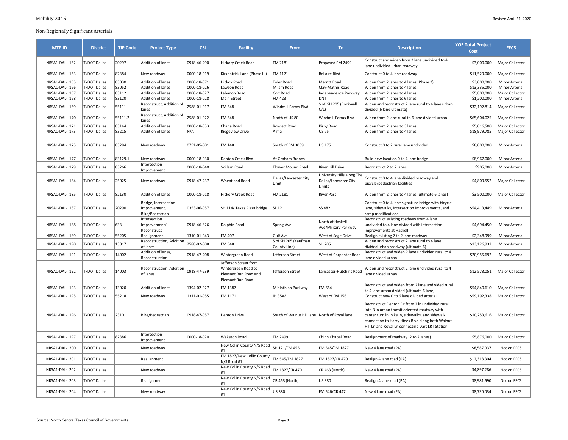| <b>MTP ID</b>  | <b>District</b>     | <b>TIP Code</b> | <b>Project Type</b>                                     | <b>CSJ</b>  | <b>Facility</b>                                                                            | From                                          | To                                                            | <b>Description</b>                                                                                                                                                                                                                                           | <b>YOE Total Project</b><br>Cost | <b>FFCS</b>           |
|----------------|---------------------|-----------------|---------------------------------------------------------|-------------|--------------------------------------------------------------------------------------------|-----------------------------------------------|---------------------------------------------------------------|--------------------------------------------------------------------------------------------------------------------------------------------------------------------------------------------------------------------------------------------------------------|----------------------------------|-----------------------|
| NRSA1-DAL-162  | <b>TxDOT Dallas</b> | 20297           | Addition of lanes                                       | 0918-46-290 | Hickory Creek Road                                                                         | FM 2181                                       | Proposed FM 2499                                              | Construct and widen from 2 lane undivided to 4<br>lane undivided urban roadway                                                                                                                                                                               | \$3,000,000                      | Major Collector       |
| NRSA1-DAL-163  | <b>TxDOT Dallas</b> | 82384           | New roadway                                             | 0000-18-019 | Kirkpatrick Lane (Phase III)                                                               | FM 1171                                       | <b>Bellaire Blvd</b>                                          | Construct 0 to 4 lane roadway                                                                                                                                                                                                                                | \$11,529,000                     | Major Collector       |
| NRSA1-DAL-165  | <b>TxDOT Dallas</b> | 83030           | Addition of lanes                                       | 0000-18-071 | <b>Hickox Road</b>                                                                         | <b>Toler Road</b>                             | Merritt Road                                                  | Widen from 2 lanes to 4 lanes (Phase 2)                                                                                                                                                                                                                      | \$3,000,000                      | Minor Arterial        |
| NRSA1-DAL- 166 | <b>TxDOT Dallas</b> | 83052           | Addition of lanes                                       | 0000-18-026 | Lawson Road                                                                                | Milam Road                                    | Clay-Mathis Road                                              | Widen from 2 lanes to 4 lanes                                                                                                                                                                                                                                | \$13,335,000                     | <b>Minor Arterial</b> |
| NRSA1-DAL- 167 | TxDOT Dallas        | 83112           | Addition of lanes                                       | 0000-18-027 | Lebanon Road                                                                               | Coit Road                                     | Independence Parkway                                          | Widen from 2 lanes to 4 lanes                                                                                                                                                                                                                                | \$5,800,000                      | Major Collector       |
| NRSA1-DAL- 168 | <b>TxDOT Dallas</b> | 83120           | Addition of lanes                                       | 0000-18-028 | Main Street                                                                                | FM 423                                        | <b>DNT</b>                                                    | Widen from 4 lanes to 6 lanes                                                                                                                                                                                                                                | \$1,200,000                      | Minor Arterial        |
| NRSA1-DAL-169  | <b>TxDOT Dallas</b> | 55111           | Reconstruct, Addition of<br>lanes                       | 2588-01-017 | <b>FM 548</b>                                                                              | Windmill Farms Blvd                           | S of SH 205 (Rockwall<br>C/L                                  | Widen and reconstruct 2 lane rural to 4 lane urban<br>divided (6 lane ultimate)                                                                                                                                                                              | \$32,192,814                     | Major Collector       |
| NRSA1-DAL-170  | <b>TxDOT Dallas</b> | 55111.2         | Reconstruct, Addition of<br>lanes                       | 2588-01-022 | FM 548                                                                                     | North of US 80                                | Windmill Farms Blvd                                           | Widen from 2 lane rural to 6 lane divided urban                                                                                                                                                                                                              | \$65,604,025                     | Major Collector       |
| NRSA1-DAL-171  | <b>TxDOT Dallas</b> | 83144           | Addition of lanes                                       | 0000-18-033 | Chaha Road                                                                                 | Rowlett Road                                  | Kirby Road                                                    | Widen from 2 lanes to 3 lanes                                                                                                                                                                                                                                | \$5,016,500                      | Major Collector       |
| NRSA1-DAL-173  | TxDOT Dallas        | 83215           | Addition of lanes                                       | N/A         | <b>Ridgeview Drive</b>                                                                     | Alma                                          | <b>US 75</b>                                                  | Widen from 2 lanes to 4 lanes                                                                                                                                                                                                                                | \$18,979,785                     | Major Collector       |
| NRSA1-DAL-175  | <b>TxDOT Dallas</b> | 83284           | New roadway                                             | 0751-05-001 | FM 148                                                                                     | South of FM 3039                              | <b>US 175</b>                                                 | Construct 0 to 2 rural lane undivided                                                                                                                                                                                                                        | \$8,000,000                      | <b>Minor Arterial</b> |
| NRSA1-DAL-177  | <b>TxDOT Dallas</b> | 83129.1         | New roadway                                             | 0000-18-030 | Denton Creek Blvd                                                                          | At Graham Branch                              |                                                               | Build new location 0 to 4 lane bridge                                                                                                                                                                                                                        | \$8,967,000                      | Minor Arterial        |
| NRSA1-DAL-179  | <b>TxDOT Dallas</b> | 83266           | Intersection<br>Improvement                             | 0000-18-040 | Skillern Road                                                                              | Flower Mound Road                             | <b>River Hill Drive</b>                                       | Reconstruct 2 to 2 lanes                                                                                                                                                                                                                                     | \$905,000                        | <b>Minor Arterial</b> |
| NRSA1-DAL-184  | TxDOT Dallas        | 25025           | New roadway                                             | 0918-47-237 | <b>Wheatland Road</b>                                                                      | Dallas/Lancaster City<br>Limit                | University Hills along The<br>Dallas/Lancaster City<br>Limits | Construct 0 to 4 lane divided roadway and<br>bicycle/pedestrian facilities                                                                                                                                                                                   | \$4,809,552                      | Major Collector       |
| NRSA1-DAL-185  | <b>TxDOT Dallas</b> | 82130           | Addition of lanes                                       | 0000-18-018 | Hickory Creek Road                                                                         | FM 2181                                       | <b>River Pass</b>                                             | Widen from 2 lanes to 4 lanes (ultimate 6 lanes)                                                                                                                                                                                                             | \$3,500,000                      | Major Collector       |
| NRSA1-DAL-187  | TxDOT Dallas        | 20290           | Bridge, Intersection<br>Improvement,<br>Bike/Pedestrian | 0353-06-057 | SH 114/ Texas Plaza bridge                                                                 | SL 12                                         | SS 482                                                        | Construct 0 to 4 lane signature bridge with bicycle<br>lane, sidewalks, Intersection Improvements, and<br>ramp modifications                                                                                                                                 | \$54,413,449                     | <b>Minor Arterial</b> |
| NRSA1-DAL-188  | <b>TxDOT Dallas</b> | 633             | Intersection<br>Improvement/<br>Reconstruct             | 0918-46-826 | Dolphin Road                                                                               | Spring Ave                                    | North of Haskell<br>Ave/Military Parkway                      | Reconstruct existing roadway from 4 lane<br>undivided to 4 lane divided with intersection<br>improvements at Haskell                                                                                                                                         | \$4,694,450                      | <b>Minor Arterial</b> |
| NRSA1-DAL-189  | <b>TxDOT Dallas</b> | 55205           | Realignment                                             | 1310-01-043 | FM 407                                                                                     | Gulf Ave                                      | West of Sage Drive                                            | Realign existing 2 to 2 lane roadway                                                                                                                                                                                                                         | \$2,348,999                      | Minor Arterial        |
| NRSA1-DAL-190  | <b>TxDOT Dallas</b> | 13017           | Reconstruction, Addition<br>of lanes                    | 2588-02-008 | FM 548                                                                                     | S of SH 205 (Kaufman<br>County Line)          | SH 205                                                        | Widen and reconstruct 2 lane rural to 4 lane<br>divided urban roadway (ultimate 6)                                                                                                                                                                           | \$13,126,932                     | <b>Minor Arterial</b> |
| NRSA1-DAL-191  | TxDOT Dallas        | 14002           | Addition of lanes,<br>Reconstruction                    | 0918-47-208 | Wintergreen Road                                                                           | Jefferson Street                              | West of Carpenter Road                                        | Reconstruct and widen 2 lane undivided rural to 4<br>lane divided urban                                                                                                                                                                                      | \$20,955,692                     | <b>Minor Arterial</b> |
| NRSA1-DAL-192  | <b>TxDOT Dallas</b> | 14003           | Reconstruction, Addition<br>of lanes                    | 0918-47-239 | Jefferson Street from<br>Wintergreen Road to<br>Pleasant Run Road and<br>Pleasant Run Road | Jefferson Street                              | Lancaster-Hutchins Road                                       | Widen and reconstruct 2 lane undivided rural to 4<br>lane divided urban                                                                                                                                                                                      | \$12,573,051                     | Major Collector       |
| NRSA1-DAL-193  | <b>TxDOT Dallas</b> | 13020           | Addition of lanes                                       | 1394-02-027 | FM 1387                                                                                    | Midlothian Parkway                            | FM 664                                                        | Reconstruct and widen from 2 lane undivided rural<br>to 4 lane urban divided (ultimate 6 lane)                                                                                                                                                               | \$54,840,610                     | Major Collector       |
| NRSA1-DAL-195  | <b>TxDOT Dallas</b> | 55218           | New roadway                                             | 1311-01-055 | FM 1171                                                                                    | <b>IH35W</b>                                  | West of FM 156                                                | Construct new 0 to 6 lane divided arterial                                                                                                                                                                                                                   | \$59,192,338                     | Major Collector       |
| NRSA1-DAL-196  | <b>TxDOT Dallas</b> | 2310.1          | Bike/Pedestrian                                         | 0918-47-057 | <b>Denton Drive</b>                                                                        | South of Walnut Hill lane North of Royal lane |                                                               | Reconstruct Denton Dr from 2 In undivided rural<br>into 3 In urban transit oriented roadway with<br>center turn In, bike In, sidewalks, and sidewalk<br>connection to Harry Hines Blvd along both Walnut<br>Hill Ln and Royal Ln connecting Dart LRT Station | \$10,253,616                     | Major Collector       |
| NRSA1-DAL-197  | <b>TxDOT Dallas</b> | 82386           | Intersection<br>Improvement                             | 0000-18-020 | <b>Waketon Road</b>                                                                        | FM 2499                                       | Chinn Chapel Road                                             | Realignment of roadway (2 to 2 lanes)                                                                                                                                                                                                                        | \$5,876,000                      | Major Collector       |
| NRSA1-DAL- 200 | TxDOT Dallas        |                 | New roadway                                             |             | New Collin County N/S Road<br>#1                                                           | SH 121/FM 455                                 | FM 545/FM 1827                                                | New 4 lane road (PA)                                                                                                                                                                                                                                         | \$8,587,037                      | Not on FFCS           |
| NRSA1-DAL-201  | <b>TxDOT Dallas</b> |                 | Realignment                                             |             | FM 1827/New Collin County<br>N/S Road #1                                                   | FM 545/FM 1827                                | FM 1827/CR 470                                                | Realign 4 lane road (PA)                                                                                                                                                                                                                                     | \$12,318,304                     | Not on FFCS           |
| NRSA1-DAL- 202 | TxDOT Dallas        |                 | New roadway                                             |             | New Collin County N/S Road<br>#1                                                           | FM 1827/CR 470                                | CR 463 (North)                                                | New 4 lane road (PA)                                                                                                                                                                                                                                         | \$4,897,286                      | Not on FFCS           |
| NRSA1-DAL-203  | <b>TxDOT Dallas</b> |                 | Realignment                                             |             | New Collin County N/S Road<br>#1                                                           | CR 463 (North)                                | <b>US 380</b>                                                 | Realign 4 lane road (PA)                                                                                                                                                                                                                                     | \$8,981,690                      | Not on FFCS           |
| NRSA1-DAL-204  | <b>TxDOT Dallas</b> |                 | New roadway                                             |             | New Collin County N/S Road<br>#1                                                           | <b>US 380</b>                                 | FM 546/CR 447                                                 | New 4 lane road (PA)                                                                                                                                                                                                                                         | \$8,730,034                      | Not on FFCS           |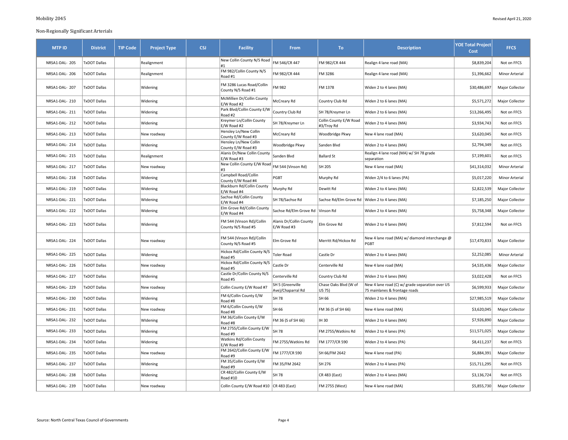| <b>MTP ID</b>  | <b>District</b>     | <b>TIP Code</b> | <b>Project Type</b> | <b>CSJ</b> | <b>Facility</b>                                     | <b>From</b>                            | To:                                  | <b>Description</b>                                                               | <b>YOE Total Project</b><br>Cost | <b>FFCS</b>           |
|----------------|---------------------|-----------------|---------------------|------------|-----------------------------------------------------|----------------------------------------|--------------------------------------|----------------------------------------------------------------------------------|----------------------------------|-----------------------|
| NRSA1-DAL-205  | <b>TxDOT Dallas</b> |                 | Realignment         |            | New Collin County N/S Road<br>#1                    | FM 546/CR 447                          | FM 982/CR 444                        | Realign 4 lane road (MA)                                                         | \$8,839,204                      | Not on FFCS           |
| NRSA1-DAL- 206 | <b>TxDOT Dallas</b> |                 | Realignment         |            | FM 982/Collin County N/S<br>Road #1                 | FM 982/CR 444                          | FM 3286                              | Realign 4 lane road (MA)                                                         | \$1,396,662                      | Minor Arterial        |
| NRSA1-DAL- 207 | <b>TxDOT Dallas</b> |                 | Widening            |            | FM 3286 Lucas Road/Collin<br>County N/S Road #1     | FM 982                                 | FM 1378                              | Widen 2 to 4 lanes (MA)                                                          | \$30,486,697                     | Major Collector       |
| NRSA1-DAL- 210 | <b>TxDOT Dallas</b> |                 | Widening            |            | McMillien Dr/Collin County<br>E/W Road #2           | McCreary Rd                            | Country Club Rd                      | Widen 2 to 6 lanes (MA)                                                          | \$5,571,272                      | Major Collector       |
| NRSA1-DAL-211  | <b>TxDOT Dallas</b> |                 | Widening            |            | Park Blvd/Collin County E/W<br>Road #2              | Country Club Rd                        | SH 78/Kreymer Ln                     | Widen 2 to 6 lanes (MA)                                                          | \$13,266,495                     | Not on FFCS           |
| NRSA1-DAL-212  | <b>TxDOT Dallas</b> |                 | Widening            |            | Kreymer Ln/Collin County<br>E/W Road #2             | SH 78/Kreymer Ln                       | Collin County E/W Road<br>#3/Troy Rd | Widen 2 to 4 lanes (MA)                                                          | \$3,934,743                      | Not on FFCS           |
| NRSA1-DAL-213  | <b>TxDOT Dallas</b> |                 | New roadway         |            | Hensley Ln/New Collin<br>County E/W Road #3         | McCreary Rd                            | Woodbridge Pkwy                      | New 4 lane road (MA)                                                             | \$3,620,045                      | Not on FFCS           |
| NRSA1-DAL-214  | <b>TxDOT Dallas</b> |                 | Widening            |            | Hensley Ln/New Collin<br>County E/W Road #3         | Woodbridge Pkwy                        | Sanden Blvd                          | Widen 2 to 4 lanes (MA)                                                          | \$2,794,349                      | Not on FFCS           |
| NRSA1-DAL-215  | <b>TxDOT Dallas</b> |                 | Realignment         |            | Alanis Dr/New Collin County<br>E/W Road #3          | Sanden Blvd                            | <b>Ballard St</b>                    | Realign 4 lane road (MA) w/ SH 78 grade<br>separation                            | \$7,199,601                      | Not on FFCS           |
| NRSA1-DAL- 217 | <b>TxDOT Dallas</b> |                 | New roadway         |            | New Collin County E/W Road FM 544 (Vinson Rd)<br>#3 |                                        | SH 205                               | New 4 lane road (MA)                                                             | \$41,314,032                     | <b>Minor Arterial</b> |
| NRSA1-DAL-218  | <b>TxDOT Dallas</b> |                 | Widening            |            | Campbell Road/Collin<br>County E/W Road #4          | PGBT                                   | Murphy Rd                            | Widen 2/4 to 6 lanes (PA)                                                        | \$5,017,220                      | Minor Arterial        |
| NRSA1-DAL- 219 | <b>TxDOT Dallas</b> |                 | Widening            |            | Blackburn Rd/Collin County<br>E/W Road #4           | Murphy Rd                              | Dewitt Rd                            | Widen 2 to 4 lanes (MA)                                                          | \$2,822,539                      | Major Collector       |
| NRSA1-DAL-221  | <b>TxDOT Dallas</b> |                 | Widening            |            | Sachse Rd/Collin County<br>E/W Road #4              | SH 78/Sachse Rd                        |                                      | Sachse Rd/Elm Grove Rd   Widen 2 to 4 lanes (MA)                                 | \$7,185,250                      | Major Collector       |
| NRSA1-DAL-222  | <b>TxDOT Dallas</b> |                 | Widening            |            | Elm Grove Rd/Collin County<br>E/W Road #4           | Sachse Rd/Elm Grove Rd Vinson Rd       |                                      | Widen 2 to 4 lanes (MA)                                                          | \$5,758,348                      | Major Collector       |
| NRSA1-DAL-223  | <b>TxDOT Dallas</b> |                 | Widening            |            | FM 544 (Vinson Rd)/Collin<br>County N/S Road #5     | Alanis Dr/Collin County<br>E/W Road #3 | Elm Grove Rd                         | Widen 2 to 4 lanes (MA)                                                          | \$7,812,594                      | Not on FFCS           |
| NRSA1-DAL-224  | <b>TxDOT Dallas</b> |                 | New roadway         |            | FM 544 (Vinson Rd)/Collin<br>County N/S Road #5     | Elm Grove Rd                           | Merritt Rd/Hickox Rd                 | New 4 lane road (MA) w/ diamond interchange @<br>PGBT                            | \$17,470,833                     | Major Collector       |
| NRSA1-DAL-225  | <b>TxDOT Dallas</b> |                 | Widening            |            | Hickox Rd/Collin County N/S<br>Road #5              | <b>Toler Road</b>                      | Castle Dr                            | Widen 2 to 4 lanes (MA)                                                          | \$2,252,085                      | <b>Minor Arterial</b> |
| NRSA1-DAL-226  | <b>TxDOT Dallas</b> |                 | New roadway         |            | Hickox Rd/Collin County N/S<br>Road #5              | Castle Dr                              | Centerville Rd                       | New 4 lane road (MA)                                                             | \$4,535,436                      | Major Collector       |
| NRSA1-DAL-227  | <b>TxDOT Dallas</b> |                 | Widening            |            | Castle Dr/Collin County N/S<br>Road #5              | Centerville Rd                         | Country Club Rd                      | Widen 2 to 4 lanes (MA)                                                          | \$3,022,428                      | Not on FFCS           |
| NRSA1-DAL-229  | <b>TxDOT Dallas</b> |                 | New roadway         |            | Collin County E/W Road #7                           | SH 5 (Greenville<br>Ave)/Chaparral Rd  | Chase Oaks Blvd (W of<br>US 75)      | New 4 lane road (C) w/ grade separation over US<br>75 mainlanes & frontage roads | \$6,599,933                      | Major Collector       |
| NRSA1-DAL-230  | <b>TxDOT Dallas</b> |                 | Widening            |            | FM 6/Collin County E/W<br>Road #8                   | <b>SH 78</b>                           | SH 66                                | Widen 2 to 4 lanes (MA)                                                          | \$27,985,519                     | Major Collector       |
| NRSA1-DAL-231  | <b>TxDOT Dallas</b> |                 | New roadway         |            | FM 6/Collin County E/W<br>Road #8                   | SH 66                                  | FM 36 (S of SH 66)                   | New 4 lane road (MA)                                                             | \$3,620,045                      | Major Collector       |
| NRSA1-DAL-232  | <b>TxDOT Dallas</b> |                 | Widening            |            | FM 36/Collin County E/W<br>Road #8                  | FM 36 (S of SH 66)                     | IH 30                                | Widen 2 to 4 lanes (MA)                                                          | \$7,926,890                      | Major Collector       |
| NRSA1-DAL-233  | <b>TxDOT Dallas</b> |                 | Widening            |            | FM 2755/Collin County E/W<br>Road #9                | SH 78                                  | FM 2755/Watkins Rd                   | Widen 2 to 4 lanes (PA)                                                          | \$11,571,025                     | Major Collector       |
| NRSA1-DAL-234  | <b>TxDOT Dallas</b> |                 | Widening            |            | Watkins Rd/Collin County<br>E/W Road #9             | FM 2755/Watkins Rd                     | FM 1777/CR 590                       | Widen 2 to 4 lanes (PA)                                                          | \$8,411,237                      | Not on FFCS           |
| NRSA1-DAL-235  | <b>TxDOT Dallas</b> |                 | New roadway         |            | FM 2642/Collin County E/W<br>Road #9                | FM 1777/CR 590                         | SH 66/FM 2642                        | New 4 lane road (PA)                                                             | \$6,884,391                      | Major Collector       |
| NRSA1-DAL-237  | <b>TxDOT Dallas</b> |                 | Widening            |            | FM 35/Collin County E/W<br>Road #9                  | FM 35/FM 2642                          | SH 276                               | Widen 2 to 4 lanes (PA)                                                          | \$15,711,295                     | Not on FFCS           |
| NRSA1-DAL-238  | <b>TxDOT Dallas</b> |                 | Widening            |            | CR 482/Collin County E/W<br>Road #10                | SH 78                                  | CR 483 (East)                        | Widen 2 to 4 lanes (MA)                                                          | \$3,136,724                      | Not on FFCS           |
| NRSA1-DAL-239  | <b>TxDOT Dallas</b> |                 | New roadway         |            | Collin County E/W Road #10   CR 483 (East)          |                                        | FM 2755 (West)                       | New 4 lane road (MA)                                                             | \$5,855,730                      | Major Collector       |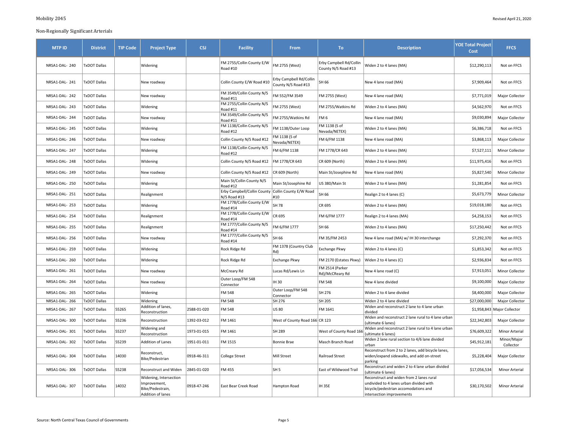| <b>MTP ID</b>  | <b>District</b>     | <b>TIP Code</b> | <b>Project Type</b>                                                             | <b>CSJ</b>  | <b>Facility</b>                                                      | From                                           | To:                                            | <b>Description</b>                                                                                                                                       | <b>YOE Total Project</b><br>Cost | <b>FFCS</b>              |
|----------------|---------------------|-----------------|---------------------------------------------------------------------------------|-------------|----------------------------------------------------------------------|------------------------------------------------|------------------------------------------------|----------------------------------------------------------------------------------------------------------------------------------------------------------|----------------------------------|--------------------------|
| NRSA1-DAL-240  | <b>TxDOT Dallas</b> |                 | Widening                                                                        |             | FM 2755/Collin County E/W<br>Road #10                                | FM 2755 (West)                                 | Erby Campbell Rd/Collin<br>County N/S Road #13 | Widen 2 to 4 lanes (MA)                                                                                                                                  | \$12,290,113                     | Not on FFCS              |
| NRSA1-DAL-241  | <b>TxDOT Dallas</b> |                 | New roadway                                                                     |             | Collin County E/W Road #10                                           | Erby Campbell Rd/Collin<br>County N/S Road #13 | SH 66                                          | New 4 lane road (MA)                                                                                                                                     | \$7,909,464                      | Not on FFCS              |
| NRSA1-DAL-242  | <b>TxDOT Dallas</b> |                 | New roadway                                                                     |             | FM 3549/Collin County N/S<br><b>Road #11</b>                         | FM 552/FM 3549                                 | FM 2755 (West)                                 | New 4 lane road (MA)                                                                                                                                     | \$7,771,019                      | Major Collector          |
| NRSA1-DAL-243  | <b>TxDOT Dallas</b> |                 | Widening                                                                        |             | FM 2755/Collin County N/S<br>Road #11                                | FM 2755 (West)                                 | FM 2755/Watkins Rd                             | Widen 2 to 4 lanes (MA)                                                                                                                                  | \$4,562,970                      | Not on FFCS              |
| NRSA1-DAL-244  | <b>TxDOT Dallas</b> |                 | New roadway                                                                     |             | FM 3549/Collin County N/S<br>Road #11                                | FM 2755/Watkins Rd                             | FM <sub>6</sub>                                | New 4 lane road (MA)                                                                                                                                     | \$9,030,894                      | Major Collector          |
| NRSA1-DAL-245  | <b>TxDOT Dallas</b> |                 | Widening                                                                        |             | FM 1138/Collin County N/S<br>Road #12                                | FM 1138/Outer Loop                             | FM 1138 (S of<br>Nevada/NETEX)                 | Widen 2 to 4 lanes (MA)                                                                                                                                  | \$6,386,718                      | Not on FFCS              |
| NRSA1-DAL-246  | <b>TxDOT Dallas</b> |                 | New roadway                                                                     |             | Collin County N/S Road #12                                           | FM 1138 (S of<br>Nevada/NETEX)                 | FM 6/FM 1138                                   | New 4 lane road (MA)                                                                                                                                     | \$3,868,113                      | Major Collector          |
| NRSA1-DAL-247  | <b>TxDOT Dallas</b> |                 | Widening                                                                        |             | FM 1138/Collin County N/S<br>Road #12                                | FM 6/FM 1138                                   | FM 1778/CR 643                                 | Widen 2 to 4 lanes (MA)                                                                                                                                  | \$7,527,111                      | Minor Collector          |
| NRSA1-DAL-248  | <b>TxDOT Dallas</b> |                 | Widening                                                                        |             | Collin County N/S Road #12                                           | FM 1778/CR 643                                 | CR 609 (North)                                 | Widen 2 to 4 lanes (MA)                                                                                                                                  | \$11,975,416                     | Not on FFCS              |
| NRSA1-DAL-249  | <b>TxDOT Dallas</b> |                 | New roadway                                                                     |             | Collin County N/S Road #12                                           | CR 609 (North)                                 | Main St/Josephine Rd                           | New 4 lane road (MA)                                                                                                                                     | \$5,827,540                      | Minor Collector          |
| NRSA1-DAL-250  | <b>TxDOT Dallas</b> |                 | Widening                                                                        |             | Main St/Collin County N/S<br>Road #12                                | Main St/Josephine Rd                           | US 380/Main St                                 | Widen 2 to 4 lanes (MA)                                                                                                                                  | \$1,281,854                      | Not on FFCS              |
| NRSA1-DAL- 251 | <b>TxDOT Dallas</b> |                 | Realignment                                                                     |             | Erby Campbell/Collin County   Collin County E/W Road<br>N/S Road #13 | #10                                            | SH 66                                          | Realign 2 to 4 lanes (C)                                                                                                                                 | \$5,673,779                      | Minor Collector          |
| NRSA1-DAL-253  | <b>TxDOT Dallas</b> |                 | Widening                                                                        |             | FM 1778/Collin County E/W<br>Road #14                                | SH 78                                          | CR 695                                         | Widen 2 to 4 lanes (MA)                                                                                                                                  | \$19,018,180                     | Not on FFCS              |
| NRSA1-DAL-254  | <b>TxDOT Dallas</b> |                 | Realignment                                                                     |             | FM 1778/Collin County E/W<br>Road #14                                | CR 695                                         | FM 6/FM 1777                                   | Realign 2 to 4 lanes (MA)                                                                                                                                | \$4,258,153                      | Not on FFCS              |
| NRSA1-DAL-255  | <b>TxDOT Dallas</b> |                 | Realignment                                                                     |             | FM 1777/Collin County N/S<br>Road #14                                | FM 6/FM 1777                                   | SH 66                                          | Widen 2 to 4 lanes (MA)                                                                                                                                  | \$17,250,442                     | Not on FFCS              |
| NRSA1-DAL-256  | <b>TxDOT Dallas</b> |                 | New roadway                                                                     |             | FM 1777/Collin County N/S<br>Road #14                                | SH 66                                          | FM 35/FM 2453                                  | New 4 lane road (MA) w/ IH 30 interchange                                                                                                                | \$7,292,370                      | Not on FFCS              |
| NRSA1-DAL- 259 | <b>TxDOT Dallas</b> |                 | Widening                                                                        |             | Rock Ridge Rd                                                        | FM 1378 (Country Club<br>Rd)                   | Exchange Pkwy                                  | Widen 2 to 4 lanes (C)                                                                                                                                   | \$1,853,342                      | Not on FFCS              |
| NRSA1-DAL- 260 | <b>TxDOT Dallas</b> |                 | Widening                                                                        |             | Rock Ridge Rd                                                        | <b>Exchange Pkwy</b>                           | FM 2170 (Estates Pkwy)                         | Widen 2 to 4 lanes (C)                                                                                                                                   | \$2,936,834                      | Not on FFCS              |
| NRSA1-DAL- 261 | <b>TxDOT Dallas</b> |                 | New roadway                                                                     |             | McCreary Rd                                                          | Lucas Rd/Lewis Ln                              | FM 2514 (Parker<br>Rd)/McCReary Rd             | New 4 lane road (C)                                                                                                                                      | \$7,913,051                      | Minor Collector          |
| NRSA1-DAL-264  | <b>TxDOT Dallas</b> |                 | New roadway                                                                     |             | Outer Loop/FM 548<br>Connector                                       | <b>IH30</b>                                    | <b>FM 548</b>                                  | New 4 lane divided                                                                                                                                       | \$9,100,000                      | Major Collector          |
| NRSA1-DAL- 265 | <b>TxDOT Dallas</b> |                 | Widening                                                                        |             | <b>FM 548</b>                                                        | Outer Loop/FM 548<br>Connector                 | SH 276                                         | Widen 2 to 4 lane divided                                                                                                                                | \$8,400,000                      | Major Collector          |
| NRSA1-DAL- 266 | <b>TxDOT Dallas</b> |                 | Widening                                                                        |             | <b>FM 548</b>                                                        | SH 276                                         | SH 205                                         | Widen 2 to 4 lane divided                                                                                                                                | \$27,000,000                     | Major Collector          |
| NRSA1-DAL- 267 | TxDOT Dallas        | 55265           | Addition of lanes,<br>Reconstruction                                            | 2588-01-020 | FM 548                                                               | <b>US 80</b>                                   | FM 1641                                        | Widen and reconstruct 2 lane to 4 lane urban<br>divided                                                                                                  | \$1,958,843                      | Major Collector          |
| NRSA1-DAL-300  | <b>TxDOT Dallas</b> | 55236           | Reconstruction                                                                  | 1392-03-012 | FM 1461                                                              | West of County Road 166 CR 123                 |                                                | Widen and reconstruct 2 lane rural to 4 lane urban<br>(ultimate 6 lanes)                                                                                 | \$22,342,803                     | Major Collector          |
| NRSA1-DAL-301  | <b>TxDOT Dallas</b> | 55237           | Widening and<br>Reconstruction                                                  | 1973-01-015 | FM 1461                                                              | SH 289                                         | West of County Road 16                         | Widen and reconstruct 2 lane rural to 4 lane urban<br>(ultimate 6 lanes)                                                                                 | \$76,609,322                     | <b>Minor Arterial</b>    |
| NRSA1-DAL-302  | <b>TxDOT Dallas</b> | 55239           | <b>Addition of Lanes</b>                                                        | 1951-01-011 | FM 1515                                                              | <b>Bonnie Brae</b>                             | Masch Branch Road                              | Widen 2 lane rural section to 4/6 lane divided<br>urban                                                                                                  | \$45,912,181                     | Minor/Major<br>Collector |
| NRSA1-DAL-304  | <b>TxDOT Dallas</b> | 14030           | Reconstruct,<br>Bike/Pedestrian                                                 | 0918-46-311 | <b>College Street</b>                                                | <b>Mill Street</b>                             | <b>Railroad Street</b>                         | Reconstruct from 2 to 2 lanes, add bicycle lanes,<br>widen/expand sidewalks, and add on-street<br>parking                                                | \$5,228,404                      | Major Collector          |
| NRSA1-DAL-306  | <b>TxDOT Dallas</b> | 55238           | Reconstruct and Widen                                                           | 2845-01-020 | FM 455                                                               | SH 5                                           | East of Wildwood Trail                         | Reconstruct and widen 2 to 4 lane urban divided<br>(ultimate 6 lanes)                                                                                    | \$17,056,534                     | <b>Minor Arterial</b>    |
| NRSA1-DAL-307  | TxDOT Dallas        | 14032           | Widening, Intersection<br>Improvement,<br>Bike/Pedestrain,<br>Addition of lanes | 0918-47-246 | East Bear Creek Road                                                 | Hampton Road                                   | <b>IH 35E</b>                                  | Reconstruct and widen from 2 lanes rural<br>undivided to 4 lanes urban divided with<br>bicycle/pedestrian accomodations and<br>intersection improvements | \$30,170,502                     | <b>Minor Arterial</b>    |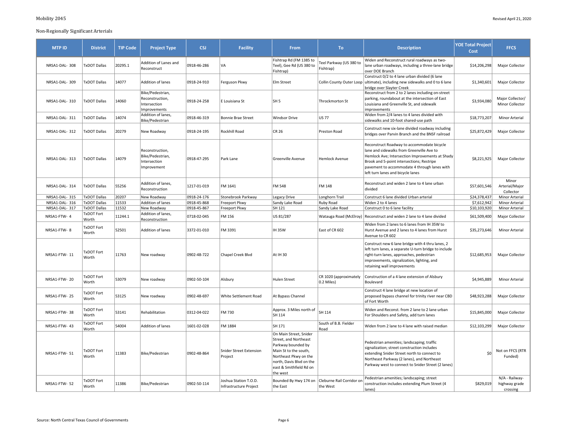| <b>MTP ID</b> | <b>District</b>            | <b>TIP Code</b> | <b>Project Type</b>                                                 | <b>CSJ</b>  | <b>Facility</b>                                 | From                                                                                                                                                                                       | To:                                   | <b>Description</b>                                                                                                                                                                                                                                                           | <b>YOE Total Project</b><br><b>Cost</b> | <b>FFCS</b>                                 |
|---------------|----------------------------|-----------------|---------------------------------------------------------------------|-------------|-------------------------------------------------|--------------------------------------------------------------------------------------------------------------------------------------------------------------------------------------------|---------------------------------------|------------------------------------------------------------------------------------------------------------------------------------------------------------------------------------------------------------------------------------------------------------------------------|-----------------------------------------|---------------------------------------------|
| NRSA1-DAL-308 | <b>TxDOT Dallas</b>        | 20295.1         | Addition of Lanes and<br>Reconstruct                                | 0918-46-286 | VA                                              | Fishtrap Rd (FM 1385 to<br>Teel), Gee Rd (US 380 to<br>Fishtrap)                                                                                                                           | Teel Parkway (US 380 to<br>Fishtrap)  | Widen and Reconstruct rural roadways as two-<br>lane urban roadways, including a three-lane bridge<br>over DOE Branch                                                                                                                                                        | \$14,206,298                            | Major Collector                             |
| NRSA1-DAL-309 | <b>TxDOT Dallas</b>        | 14077           | Addition of lanes                                                   | 0918-24-910 | Ferguson Pkwy                                   | Elm Street                                                                                                                                                                                 | Collin County Outer Loop              | Construct 0/2 to 4 lane urban divided (6 lane<br>ultimate), including new sidewalks and 0 to 6 lane<br>bridge over Slayter Creek                                                                                                                                             | \$1,340,601                             | <b>Major Collector</b>                      |
| NRSA1-DAL-310 | <b>TxDOT Dallas</b>        | 14060           | Bike/Pedestrian,<br>Reconstruction,<br>Intersection<br>Improvements | 0918-24-258 | E Louisiana St                                  | SH <sub>5</sub>                                                                                                                                                                            | Throckmorton St                       | Reconstruct from 2 to 2 lanes including on-street<br>parking, roundabout at the intersection of East<br>Louisiana and Greenville St, and sidewalk<br>improvements                                                                                                            | \$3,934,080                             | Major Collector/<br>Minor Collector         |
| NRSA1-DAL-311 | <b>TxDOT Dallas</b>        | 14074           | Addition of lanes,<br>Bike/Pedestrian                               | 0918-46-319 | Bonnie Brae Street                              | <b>Windsor Drive</b>                                                                                                                                                                       | <b>US 77</b>                          | Widen from 2/4 lanes to 4 lanes divided with<br>sidewalks and 10-foot shared-use path                                                                                                                                                                                        | \$18,773,207                            | Minor Arterial                              |
| NRSA1-DAL-312 | <b>TxDOT Dallas</b>        | 20279           | New Roadway                                                         | 0918-24-195 | Rockhill Road                                   | <b>CR 26</b>                                                                                                                                                                               | Preston Road                          | Construct new six-lane divided roadway including<br>bridges over Parvin Branch and the BNSF railroad                                                                                                                                                                         | \$25,872,429                            | Major Collector                             |
| NRSA1-DAL-313 | <b>TxDOT Dallas</b>        | 14079           | Reconstruction,<br>Bike/Pedestrian,<br>Intersection<br>Improvement  | 0918-47-295 | Park Lane                                       | Greenville Avenue                                                                                                                                                                          | <b>Hemlock Avenue</b>                 | Reconstruct Roadway to accommodate bicycle<br>lane and sidewalks from Greenville Ave to<br>Hemlock Ave; Intersection Improvements at Shady<br>Brook and 5-point intersections; Restripe<br>pavement to accommodate 4 through lanes with<br>left turn lanes and bicycle lanes | \$8,221,925                             | Major Collector                             |
| NRSA1-DAL-314 | <b>TxDOT Dallas</b>        | 55256           | Addition of lanes,<br>Reconstruction                                | 1217-01-019 | FM 1641                                         | FM 548                                                                                                                                                                                     | FM 148                                | Reconstruct and widen 2 lane to 4 lane urban<br>divided                                                                                                                                                                                                                      | \$57,601,546                            | Minor<br>Arterial/Major<br>Collector        |
| NRSA1-DAL-315 | <b>TxDOT Dallas</b>        | 20207           | New Roadway                                                         | 0918-24-176 | Stonebrook Parkway                              | Legacy Drive                                                                                                                                                                               | Longhorn Trail                        | Construct 6 lane divided Urban arterial                                                                                                                                                                                                                                      | \$24,378,437                            | Minor Arterial                              |
| NRSA1-DAL-316 | <b>TxDOT Dallas</b>        | 11533           | Addition of lanes                                                   | 0918-45-868 | Freeport Pkwy                                   | Sandy Lake Road                                                                                                                                                                            | <b>Ruby Road</b>                      | Widen 2 to 4 lanes                                                                                                                                                                                                                                                           | \$7,612,942                             | Minor Arterial                              |
| NRSA1-DAL-317 | <b>TxDOT Dallas</b>        | 11532           | New Roadway                                                         | 0918-45-867 | Freeport Pkwy                                   | SH 121                                                                                                                                                                                     | Sandy Lake Road                       | Construct 0 to 6 lane facility                                                                                                                                                                                                                                               | \$10,103,920                            | Minor Arterial                              |
| NRSA1-FTW-4   | TxDOT Fort<br>Worth        | 11244.1         | Addition of lanes,<br>Reconstruction                                | 0718-02-045 | FM 156                                          | US 81/287                                                                                                                                                                                  | Watauga Road (McElroy)                | Reconstruct and widen 2 lane to 4 lane divided                                                                                                                                                                                                                               | \$61,509,400                            | Major Collector                             |
| NRSA1-FTW-8   | TxDOT Fort<br>Worth        | 52501           | Addition of lanes                                                   | 3372-01-010 | FM 3391                                         | <b>IH35W</b>                                                                                                                                                                               | East of CR 602                        | Widen from 2 lanes to 6 lanes from IH 35W to<br>Hurst Avenue and 2 lanes to 4 lanes from Hurst<br>Avenue to CR 602                                                                                                                                                           | \$35,273,646                            | Minor Arterial                              |
| NRSA1-FTW-11  | <b>TxDOT Fort</b><br>Worth | 11763           | New roadway                                                         | 0902-48-722 | Chapel Creek Blvd                               | At IH 30                                                                                                                                                                                   |                                       | Construct new 6 lane bridge with 4 thru lanes, 2<br>left turn lanes, a separate U-turn bridge to include<br>right-turn lanes, approaches, pedestrian<br>improvements, signalization, lighting, and<br>retaining wall improvements                                            | \$12,685,953                            | Major Collector                             |
| NRSA1-FTW-20  | TxDOT Fort<br>Worth        | 53079           | New roadway                                                         | 0902-50-104 | Alsbury                                         | <b>Hulen Street</b>                                                                                                                                                                        | CR 1020 (approximately<br>0.2 Miles)  | Construction of a 4 lane extension of Alsbury<br>Boulevard                                                                                                                                                                                                                   | \$4,945,889                             | Minor Arterial                              |
| NRSA1-FTW-25  | <b>TxDOT Fort</b><br>Worth | 53125           | New roadway                                                         | 0902-48-697 | White Settlement Road                           | At Bypass Channel                                                                                                                                                                          |                                       | Construct 4 lane bridge at new location of<br>proposed bypass channel for trinity river near CBD<br>of Fort Worth                                                                                                                                                            | \$48,923,288                            | Major Collector                             |
| NRSA1-FTW-38  | TxDOT Fort<br>Worth        | 53141           | Rehabilitation                                                      | 0312-04-022 | FM 730                                          | Approx. 3 Miles north of<br>SH 114                                                                                                                                                         | SH 114                                | Widen and Reconst. from 2 lane to 2 lane urban<br>For Shoulders and Safety, add turn lanes                                                                                                                                                                                   | \$15,845,000                            | Major Collector                             |
| NRSA1-FTW-43  | <b>TxDOT Fort</b><br>Worth | 54004           | Addition of lanes                                                   | 1601-02-028 | FM 1884                                         | SH 171                                                                                                                                                                                     | South of B.B. Fielder<br>Road         | Widen from 2 lane to 4 lane with raised median                                                                                                                                                                                                                               | \$12,103,299                            | Major Collector                             |
| NRSA1-FTW-51  | <b>TxDOT Fort</b><br>Worth | 11383           | Bike/Pedestrian                                                     | 0902-48-864 | <b>Snider Street Extension</b><br>Project       | On Main Street, Snider<br>Street, and Northeast<br>Parkway bounded by<br>Main St to the south,<br>Northeast Pkwy on the<br>north, Davis Blvd on the<br>east & Smithfield Rd on<br>the west |                                       | Pedestrian amenities; landscaping; traffic<br>signalization; street construction includes<br>extending Snider Street north to connect to<br>Northeast Parkway (2 lanes), and Northeast<br>Parkway west to connect to Snider Street (2 lanes)                                 | 50                                      | Not on FFCS (RTR<br>Funded)                 |
| NRSA1-FTW-52  | TxDOT Fort<br>Worth        | 11386           | Bike/Pedestrian                                                     | 0902-50-114 | Joshua Station T.O.D.<br>Infrastructure Project | Bounded By Hwy 174 on<br>the East                                                                                                                                                          | Cleburne Rail Corridor on<br>the West | Pedestrian amenities; landscaping; street<br>construction includes extending Plum Street (4<br>lanes)                                                                                                                                                                        | \$829,019                               | N/A - Railway-<br>highway grade<br>crossing |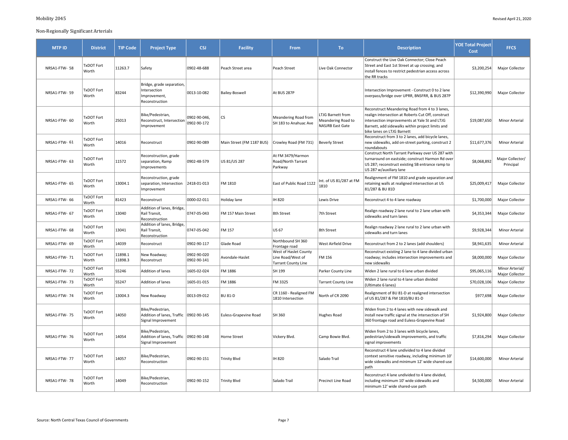| <b>MTP ID</b> | <b>District</b>            | <b>TIP Code</b>    | <b>Project Type</b>                                                                | <b>CSJ</b>                  | <b>Facility</b>           | From                                                                     | To:                                                         | <b>Description</b>                                                                                                                                                                                                                      | <b>YOE Total Project</b><br>Cost | <b>FFCS</b>                        |
|---------------|----------------------------|--------------------|------------------------------------------------------------------------------------|-----------------------------|---------------------------|--------------------------------------------------------------------------|-------------------------------------------------------------|-----------------------------------------------------------------------------------------------------------------------------------------------------------------------------------------------------------------------------------------|----------------------------------|------------------------------------|
| NRSA1-FTW-58  | <b>TxDOT Fort</b><br>Worth | 11263.7            | Safety                                                                             | 0902-48-688                 | Peach Street area         | Peach Street                                                             | Live Oak Connector                                          | Construct the Live Oak Connector; Close Peach<br>Street and East 1st Street at up crossing; and<br>install fences to restrict pedestrian access across<br>the RR tracks                                                                 | \$3,200,254                      | Major Collector                    |
| NRSA1-FTW-59  | <b>TxDOT Fort</b><br>Worth | 83244              | Bridge, grade separation,<br>Intersection<br>Improvement,<br>Reconstruction        | 0013-10-082                 | Bailey-Boswell            | At BUS 287P                                                              |                                                             | Intersection Improvement - Construct 0 to 2 lane<br>overpass/bridge over UPRR, BNSFRR, & BUS 287P                                                                                                                                       | \$12,390,990                     | Major Collector                    |
| NRSA1-FTW-60  | <b>TxDOT Fort</b><br>Worth | 25013              | Bike/Pedestrian,<br>Reconstruct, Intersection<br>Improvement                       | 0902-90-046,<br>0902-90-172 | lcs                       | Meandering Road from<br>SH 183 to Anahuac Ave                            | LTJG Barnett from<br>Meandering Road to<br>NASJRB East Gate | Reconstruct Meandering Road from 4 to 3 lanes,<br>realign intersection at Roberts Cut Off, construct<br>intersection improvements at Yale St and LTJG<br>Barnett, add sidewalks within project limits and<br>bike lanes on LTJG Barnett | \$19,087,650                     | Minor Arterial                     |
| NRSA1-FTW- 61 | <b>TxDOT Fort</b><br>Worth | 14016              | Reconstruct                                                                        | 0902-90-089                 | Main Street (FM 1187 BUS) | Crowley Road (FM 731)                                                    | <b>Beverly Street</b>                                       | Reconstruct from 3 to 2 lanes, add bicycle lanes,<br>new sidewalks, add on-street parking, construct 2<br>roundabouts                                                                                                                   | \$11,677,376                     | Minor Arterial                     |
| NRSA1-FTW- 63 | <b>TxDOT Fort</b><br>Worth | 11572              | Reconstruction, grade<br>separation, Ramp<br>Improvements                          | 0902-48-579                 | US 81/US 287              | At FM 3479/Harmon<br>Road/North Tarrant<br>Parkway                       |                                                             | Construct North Tarrant Parkway over US 287 with<br>turnaround on eastside; construct Harmon Rd over<br>US 287; reconstruct existing SB entrance ramp to<br>US 287 w/auxiliary lane                                                     | \$8,068,892                      | Major Collector/<br>Principal      |
| NRSA1-FTW-65  | <b>TxDOT Fort</b><br>Worth | 13004.1            | Reconstruction, grade<br>separation, Intersection<br>Improvement                   | 2418-01-013                 | FM 1810                   | East of Public Road 1122                                                 | Int. of US 81/287 at FM<br>1810                             | Realignment of FM 1810 and grade separation and<br>retaining walls at realigned intersection at US<br>81/287 & BU 81D                                                                                                                   | \$25,009,417                     | Major Collector                    |
| NRSA1-FTW- 66 | <b>TxDOT Fort</b><br>Worth | 81423              | Reconstruct                                                                        | 0000-02-011                 | Holiday lane              | IH 820                                                                   | Lewis Drive                                                 | Reconstruct 4 to 4 lane roadway                                                                                                                                                                                                         | \$1,700,000                      | Major Collector                    |
| NRSA1-FTW- 67 | <b>TxDOT Fort</b><br>Worth | 13040              | Addition of lanes, Bridge,<br>Rail Transit,<br>Reconstruction                      | 0747-05-043                 | FM 157 Main Street        | 8th Street                                                               | 7th Street                                                  | Realign roadway 2 lane rural to 2 lane urban with<br>sidewalks and turn lanes                                                                                                                                                           | \$4,353,344                      | Major Collector                    |
| NRSA1-FTW-68  | <b>TxDOT Fort</b><br>Worth | 13041              | Addition of lanes, Bridge,<br>Rail Transit,<br>Reconstruction                      | 0747-05-042                 | FM 157                    | <b>US 67</b>                                                             | 8th Street                                                  | Realign roadway 2 lane rural to 2 lane urban with<br>sidewalks and turn lanes                                                                                                                                                           | \$9,928,344                      | Minor Arterial                     |
| NRSA1-FTW-69  | <b>TxDOT Fort</b><br>Worth | 14039              | Reconstruct                                                                        | 0902-90-117                 | Glade Road                | Northbound SH 360<br>Frontage road                                       | West Airfield Drive                                         | Reconstruct from 2 to 2 lanes (add shoulders)                                                                                                                                                                                           | \$8,941,635                      | <b>Minor Arterial</b>              |
| NRSA1-FTW-71  | <b>TxDOT Fort</b><br>Worth | 11898.1<br>11898.3 | New Roadway;<br>Reconstruct                                                        | 0902-90-020<br>0902-90-141  | Avondale-Haslet           | West of Haslet County<br>Line Road/West of<br><b>Tarrant County Line</b> | FM 156                                                      | Reconstruct existing 2 lane to 4 lane divided urban<br>roadway; includes intersection improvements and<br>new sidewalks                                                                                                                 | \$8,000,000                      | Major Collector                    |
| NRSA1-FTW-72  | <b>TxDOT Fort</b><br>Worth | 55246              | Addition of lanes                                                                  | 1605-02-024                 | FM 1886                   | SH 199                                                                   | Parker County Line                                          | Widen 2 lane rural to 6 lane urban divided                                                                                                                                                                                              | \$95,065,116                     | Minor Arterial/<br>Major Collector |
| NRSA1-FTW-73  | <b>TxDOT Fort</b><br>Worth | 55247              | Addition of lanes                                                                  | 1605-01-015                 | FM 1886                   | FM 3325                                                                  | <b>Tarrant County Line</b>                                  | Widen 2 lane rural to 4 lane urban divided<br>(Ultimate 6 lanes)                                                                                                                                                                        | \$70,028,106                     | Major Collector                    |
| NRSA1-FTW-74  | <b>TxDOT Fort</b><br>Worth | 13004.3            | New Roadway                                                                        | 0013-09-012                 | <b>BU 81-D</b>            | CR 1160 - Realigned FM<br>1810 Intersection                              | North of CR 2090                                            | Realignment of BU 81-D at realigned intersection<br>of US 81/287 & FM 1810/BU 81-D                                                                                                                                                      | \$977,698                        | Major Collector                    |
| NRSA1-FTW-75  | <b>TxDOT Fort</b><br>Worth | 14050              | Bike/Pedestrian,<br>Addition of lanes, Traffic   0902-90-145<br>Signal Improvement |                             | Euless-Grapevine Road     | SH 360                                                                   | <b>Hughes Road</b>                                          | Widen from 2 to 4 lanes with new sidewalk and<br>install new traffic signal at the intersection of SH<br>360 frontage road and Euless-Grapevine Road                                                                                    | \$1,924,800                      | Major Collector                    |
| NRSA1-FTW-76  | <b>TxDOT Fort</b><br>Worth | 14054              | Bike/Pedestrian,<br>Addition of lanes, Traffic<br>Signal Improvement               | 0902-90-148                 | Horne Street              | Vickery Blvd.                                                            | Camp Bowie Blvd.                                            | Widen from 2 to 3 lanes with bicycle lanes,<br>pedestrian/sidewalk improvements, and traffic<br>signal improvements                                                                                                                     | \$7,816,294                      | Major Collector                    |
| NRSA1-FTW-77  | <b>TxDOT Fort</b><br>Worth | 14057              | Bike/Pedestrian,<br>Reconstruction                                                 | 0902-90-151                 | <b>Trinity Blvd</b>       | IH 820                                                                   | Salado Trail                                                | Reconstruct 4 lane undivided to 4 lane divided<br>context sensitive roadway, including minimum 10'<br>wide sidewalks and minimum 12' wide shared-use<br>path                                                                            | \$14,600,000                     | <b>Minor Arterial</b>              |
| NRSA1-FTW-78  | <b>TxDOT Fort</b><br>Worth | 14049              | Bike/Pedestrian,<br>Reconstruction                                                 | 0902-90-152                 | <b>Trinity Blvd</b>       | Salado Trail                                                             | Precinct Line Road                                          | Reconstruct 4 lane undivided to 4 lane divided,<br>including minimum 10' wide sidewalks and<br>minimum 12' wide shared-use path                                                                                                         | \$4,500,000                      | <b>Minor Arterial</b>              |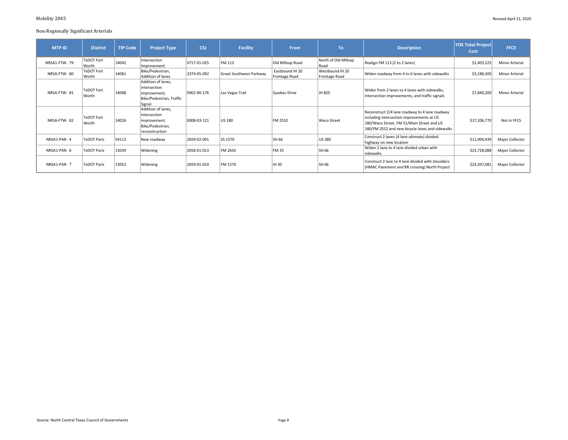| <b>MTP ID</b> | <b>District</b>            | <b>TIP Code</b> | <b>Project Type</b>                                                                       | <b>CSJ</b>  | Facility                | <b>From</b>                      | <b>To</b>                        | <b>Description</b>                                                                                                                                                                          | <b>YOE Total Project</b><br>Cost | <b>FFCS</b>           |
|---------------|----------------------------|-----------------|-------------------------------------------------------------------------------------------|-------------|-------------------------|----------------------------------|----------------------------------|---------------------------------------------------------------------------------------------------------------------------------------------------------------------------------------------|----------------------------------|-----------------------|
| NRSA1-FTW-79  | TxDOT Fort<br>Worth        | 14042           | Intersection<br>Improvement                                                               | 0717-01-025 | FM 113                  | Old Millsap Road                 | North of Old Millsap<br>Road     | Realign FM 113 (2 to 2 lanes)                                                                                                                                                               | \$1,403,225                      | Minor Arterial        |
| NRSA-FTW-80   | TxDOT Fort<br>Worth        | 14081           | Bike/Pedestrian,<br>Addition of lanes                                                     | 2374-05-092 | Great Southwest Parkway | Eastbound IH 20<br>Frontage Road | Westbound IH 20<br>Frontage Road | Widen roadway from 4 to 6 lanes with sidewalks                                                                                                                                              | \$3,188,300                      | <b>Minor Arterial</b> |
| NRSA-FTW-81   | <b>TxDOT Fort</b><br>Worth | 14088           | Addition of lanes,<br>lintersection<br>improvement,<br>Bike/Pedestrian, Traffic<br>Signal | 0902-90-176 | Las Vegas Trail         | Quebec Drive                     | IH 820                           | Widen from 2 lanes to 4 lanes with sidewalks,<br>intersection improvements, and traffic signals                                                                                             | \$7,840,200                      | <b>Minor Arterial</b> |
| NRSA-FTW-82   | TxDOT Fort<br>Worth        | 14026           | Addition of lanes,<br>lintersection<br>improvement,<br>Bike/Pedestrian,<br>reconstruction | 0008-03-121 | US 180                  | <b>FM 2552</b>                   | Waco Street                      | Reconstruct 2/4 lane roadway to 4 lane roadway<br>including intersection improvements at US<br>180/Waco Street, FM 51/Main Street and US<br>180/FM 2552 and new bicycle lanes and sidewalks | \$17,206,770                     | Not in FFCS           |
| NRSA1-PAR-4   | <b>TxDOT Paris</b>         | 54112           | New roadway                                                                               | 2659-02-001 | SS 1570                 | <b>SH 66</b>                     | US 380                           | Construct 2 lanes (4 lane ultimate) divided<br>highway on new location                                                                                                                      | \$11,904,439                     | Major Collector       |
| NRSA1-PAR-6   | <b>TxDOT Paris</b>         | 13039           | Widening                                                                                  | 2658-01-013 | FM 2642                 | FM 35                            | <b>SH 66</b>                     | Widen 2 lane to 4 lane divided urban with<br>sidewalks                                                                                                                                      | \$23,728,088                     | Major Collector       |
| NRSA1-PAR-7   | <b>TxDOT Paris</b>         | 13052           | Widening                                                                                  | 2659-01-010 | FM 1570                 | IH 30                            | SH 66                            | Construct 2 lane to 4 lane divided with shoulders<br>(HMAC Pavement and RR crossing) North Project                                                                                          | \$23,507,081                     | Major Collector       |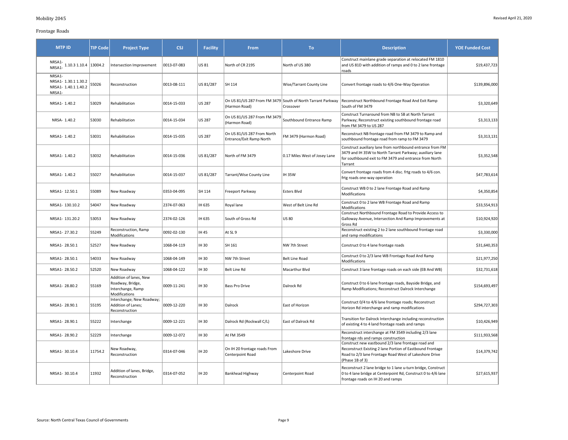# Frontage Roads

| <b>MTP ID</b>                                                                                                       | <b>TIP Code</b> | <b>Project Type</b>                                                              | <b>CSJ</b>  | <b>Facility</b> | From                                                   | To:                                                                      | <b>Description</b>                                                                                                                                                                           | <b>YOE Funded Cost</b> |
|---------------------------------------------------------------------------------------------------------------------|-----------------|----------------------------------------------------------------------------------|-------------|-----------------|--------------------------------------------------------|--------------------------------------------------------------------------|----------------------------------------------------------------------------------------------------------------------------------------------------------------------------------------------|------------------------|
| $\begin{array}{c c c c} \cdots & \cdots & \cdots \\ \hline \text{NRSA1} & 1.10.3 & 1.10.4 & 13004.2 \\ \end{array}$ |                 | Intersection Improvement                                                         | 0013-07-083 | US 81           | North of CR 2195                                       | North of US 380                                                          | Construct mainlane grade separation at relocated FM 1810<br>and US 81D with addition of ramps and 0 to 2 lane frontage<br>roads                                                              | \$19,437,723           |
| NRSA1-<br>NRSA1-1.30.11.30.2<br>NRSA1- 1.40.1 1.40.2<br>NRSA1-                                                      | 55026           | Reconstruction                                                                   | 0013-08-111 | US 81/287       | SH 114                                                 | Wise/Tarrant County Line                                                 | Convert frontage roads to 4/6 One-Way Operation                                                                                                                                              | \$139,896,000          |
| NRSA1-1.40.2                                                                                                        | 53029           | Rehabilitation                                                                   | 0014-15-033 | <b>US 287</b>   | (Harmon Road)                                          | On US 81/US 287 From FM 3479 South of North Tarrant Parkway<br>Crossover | Reconstruct Northbound Frontage Road And Exit Ramp<br>South of FM 3479                                                                                                                       | \$3,320,649            |
| NRSA- 1.40.2                                                                                                        | 53030           | Rehabilitation                                                                   | 0014-15-034 | <b>US 287</b>   | On US 81/US 287 From FM 3479<br>(Harmon Road)          | Southbound Entrance Ramp                                                 | Construct Turnaround from NB to SB at North Tarrant<br>Parkway; Reconstruct existing southbound frontage road<br>from FM 3479 to US 287                                                      | \$3,313,133            |
| NRSA1-1.40.2                                                                                                        | 53031           | Rehabilitation                                                                   | 0014-15-035 | <b>US 287</b>   | On US 81/US 287 From North<br>Entrance/Exit Ramp North | FM 3479 (Harmon Road)                                                    | Reconstruct NB frontage road from FM 3479 to Ramp and<br>southbound frontage road from ramp to FM 3479                                                                                       | \$3,313,131            |
| NRSA1-1.40.2                                                                                                        | 53032           | Rehabilitation                                                                   | 0014-15-036 | US 81/287       | North of FM 3479                                       | 0.17 Miles West of Josey Lane                                            | Construct auxiliary lane from northbound entrance from FM<br>3479 and IH 35W to North Tarrant Parkway; auxiliary lane<br>for southbound exit to FM 3479 and entrance from North<br>Tarrant   | \$3,352,548            |
| NRSA1-1.40.2                                                                                                        | 55027           | Rehabilitation                                                                   | 0014-15-037 | US 81/287       | Tarrant/Wise County Line                               | <b>IH 35W</b>                                                            | Convert frontage roads from 4 disc. frtg roads to 4/6 con.<br>frtg roads one-way operation                                                                                                   | \$47,783,614           |
| NRSA1-12.50.1                                                                                                       | 55089           | New Roadway                                                                      | 0353-04-095 | SH 114          | Freeport Parkway                                       | Esters Blvd                                                              | Construct WB 0 to 2 lane Frontage Road and Ramp<br>Modifications                                                                                                                             | \$4,350,854            |
| NRSA1-130.10.2                                                                                                      | 54047           | New Roadway                                                                      | 2374-07-063 | IH 635          | Royal lane                                             | West of Belt Line Rd                                                     | Construct 0 to 2 lane WB Frontage Road and Ramp<br>Modifications                                                                                                                             | \$33,554,913           |
| NRSA1-131.20.2                                                                                                      | 53053           | New Roadway                                                                      | 2374-02-126 | IH 635          | South of Gross Rd                                      | <b>US 80</b>                                                             | Construct Northbound Frontage Road to Provide Access to<br>Galloway Avenue, Intersection And Ramp Improvements at<br>Gross Rd                                                                | \$10,924,920           |
| NRSA1-27.30.2                                                                                                       | 55249           | Reconstruction, Ramp<br>Modifications                                            | 0092-02-130 | IH 45           | At SL 9                                                |                                                                          | Reconstruct existing 2 to 2 lane southbound frontage road<br>and ramp modifications                                                                                                          | \$3,330,000            |
| NRSA1-28.50.1                                                                                                       | 52527           | New Roadway                                                                      | 1068-04-119 | IH 30           | SH 161                                                 | NW 7th Street                                                            | Construct 0 to 4 lane frontage roads                                                                                                                                                         | \$31,640,353           |
| NRSA1-28.50.1                                                                                                       | 54033           | New Roadway                                                                      | 1068-04-149 | IH 30           | NW 7th Street                                          | <b>Belt Line Road</b>                                                    | Construct 0 to 2/3 lane WB Frontage Road And Ramp<br>Modifications                                                                                                                           | \$21,977,250           |
| NRSA1-28.50.2                                                                                                       | 52520           | New Roadway                                                                      | 1068-04-122 | IH 30           | <b>Belt Line Rd</b>                                    | Macarthur Blvd                                                           | Construct 3 lane frontage roads on each side (EB And WB)                                                                                                                                     | \$32,731,618           |
| NRSA1-28.80.2                                                                                                       | 55169           | Addition of lanes, New<br>Roadway, Bridge,<br>Interchange, Ramp<br>Modifications | 0009-11-241 | IH 30           | <b>Bass Pro Drive</b>                                  | Dalrock Rd                                                               | Construct 0 to 6 lane frontage roads, Bayside Bridge, and<br>Ramp Modifications; Reconstruct Dalrock Interchange                                                                             | \$154,693,497          |
| NRSA1-28.90.1                                                                                                       | 55195           | Interchange; New Roadway;<br>Addition of Lanes;<br>Reconstruction                | 0009-12-220 | IH 30           | Dalrock                                                | East of Horizon                                                          | Construct 0/4 to 4/6 lane frontage roads; Reconstruct<br>Horizon Rd interchange and ramp modifications                                                                                       | \$294,727,303          |
| NRSA1-28.90.1                                                                                                       | 55222           | Interchange                                                                      | 0009-12-221 | IH 30           | Dalrock Rd (Rockwall C/L)                              | East of Dalrock Rd                                                       | Transition for Dalrock Interchange including reconstruction<br>of existing 4 to 4 land frontage roads and ramps                                                                              | \$10,426,949           |
| NRSA1-28.90.2                                                                                                       | 52229           | Interchange                                                                      | 0009-12-072 | IH 30           | At FM 3549                                             |                                                                          | Reconstruct interchange at FM 3549 including 2/3 lane<br>frontage rds and ramps construction                                                                                                 | \$111,933,568          |
| NRSA1-30.10.4                                                                                                       | 11754.2         | New Roadway,<br>Reconstruction                                                   | 0314-07-046 | IH 20           | On IH 20 frontage roads From<br>Centerpoint Road       | Lakeshore Drive                                                          | Construct new eastbound 2/3 lane frontage road and<br>Reconstruct Existing 2 lane Portion of Eastbound Frontage<br>Road to 2/3 lane Frontage Road West of Lakeshore Drive<br>(Phase 1B of 3) | \$14,379,742           |
| NRSA1-30.10.4                                                                                                       | 11932           | Addition of lanes, Bridge,<br>Reconstruction                                     | 0314-07-052 | IH 20           | Bankhead Highway                                       | Centerpoint Road                                                         | Reconstruct 2 lane bridge to 1 lane u-turn bridge, Construct<br>0 to 4 lane bridge at Centerpoint Rd, Construct 0 to 4/6 lane<br>frontage roads on IH 20 and ramps                           | \$27,615,937           |